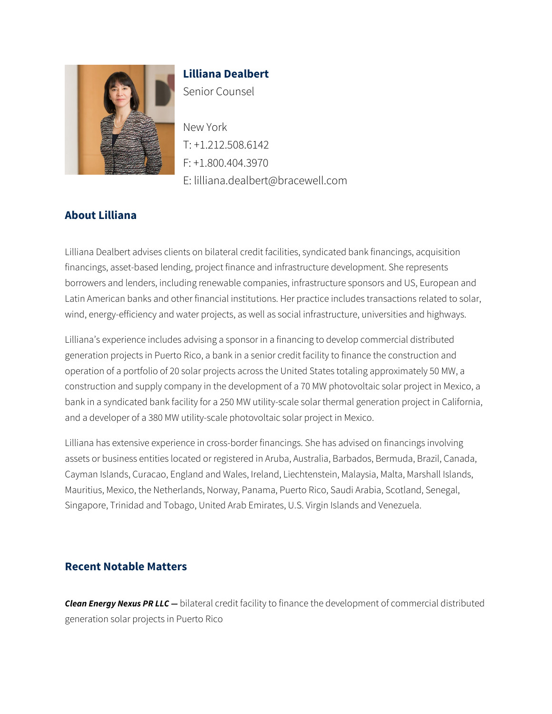

# **Lilliana Dealbert** Senior Counsel

New York T: +1.212.508.6142 F: +1.800.404.3970 E: lilliana.dealbert@bracewell.com

# **About Lilliana**

Lilliana Dealbert advises clients on bilateral credit facilities, syndicated bank financings, acquisition financings, asset-based lending, project finance and infrastructure development. She represents borrowers and lenders, including renewable companies, infrastructure sponsors and US, European and Latin American banks and other financial institutions. Her practice includes transactions related to solar, wind, energy-efficiency and water projects, as well as social infrastructure, universities and highways.

Lilliana's experience includes advising a sponsor in a financing to develop commercial distributed generation projects in Puerto Rico, a bank in a senior credit facility to finance the construction and operation of a portfolio of 20 solar projects across the United States totaling approximately 50 MW, a construction and supply company in the development of a 70 MW photovoltaic solar project in Mexico, a bank in a syndicated bank facility for a 250 MW utility-scale solar thermal generation project in California, and a developer of a 380 MW utility-scale photovoltaic solar project in Mexico.

Lilliana has extensive experience in cross-border financings. She has advised on financings involving assets or business entities located or registered in Aruba, Australia, Barbados, Bermuda, Brazil, Canada, Cayman Islands, Curacao, England and Wales, Ireland, Liechtenstein, Malaysia, Malta, Marshall Islands, Mauritius, Mexico, the Netherlands, Norway, Panama, Puerto Rico, Saudi Arabia, Scotland, Senegal, Singapore, Trinidad and Tobago, United Arab Emirates, U.S. Virgin Islands and Venezuela.

# **Recent Notable Matters**

*Clean Energy Nexus PR LLC —* bilateral credit facility to finance the development of commercial distributed generation solar projects in Puerto Rico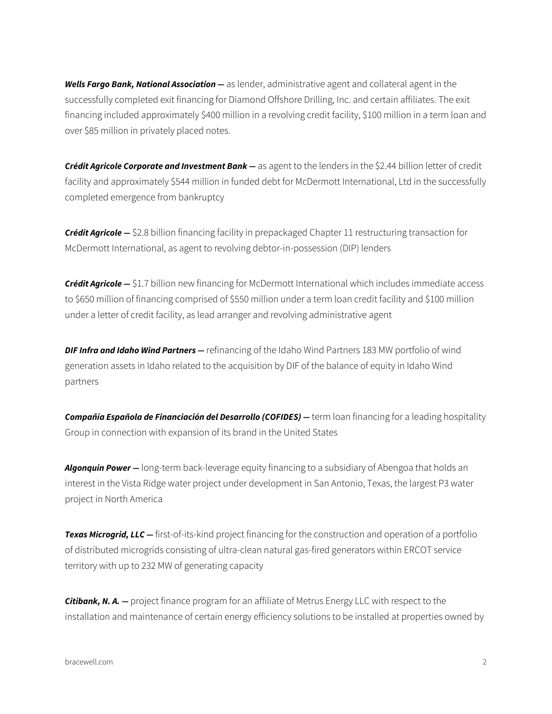*Wells Fargo Bank, National Association —* as lender, administrative agent and collateral agent in the successfully completed exit financing for Diamond Offshore Drilling, Inc. and certain affiliates. The exit financing included approximately \$400 million in a revolving credit facility, \$100 million in a term loan and over \$85 million in privately placed notes.

*Crédit Agricole Corporate and Investment Bank —* as agent to the lenders in the \$2.44 billion letter of credit facility and approximately \$544 million in funded debt for McDermott International, Ltd in the successfully completed emergence from bankruptcy

*Crédit Agricole —* \$2.8 billion financing facility in prepackaged Chapter 11 restructuring transaction for McDermott International, as agent to revolving debtor-in-possession (DIP) lenders

*Crédit Agricole —* \$1.7 billion new financing for McDermott International which includes immediate access to \$650 million of financing comprised of \$550 million under a term loan credit facility and \$100 million under a letter of credit facility, as lead arranger and revolving administrative agent

*DIF Infra and Idaho Wind Partners —* refinancing of the Idaho Wind Partners 183 MW portfolio of wind generation assets in Idaho related to the acquisition by DIF of the balance of equity in Idaho Wind partners

*Compañía Española de Financiación del Desarrollo (COFIDES) —* term loan financing for a leading hospitality Group in connection with expansion of its brand in the United States

*Algonquin Power —* long-term back-leverage equity financing to a subsidiary of Abengoa that holds an interest in the Vista Ridge water project under development in San Antonio, Texas, the largest P3 water project in North America

**Texas Microgrid, LLC** — first-of-its-kind project financing for the construction and operation of a portfolio of distributed microgrids consisting of ultra-clean natural gas-fired generators within ERCOT service territory with up to 232 MW of generating capacity

*Citibank, N. A. —* project finance program for an affiliate of Metrus Energy LLC with respect to the installation and maintenance of certain energy efficiency solutions to be installed at properties owned by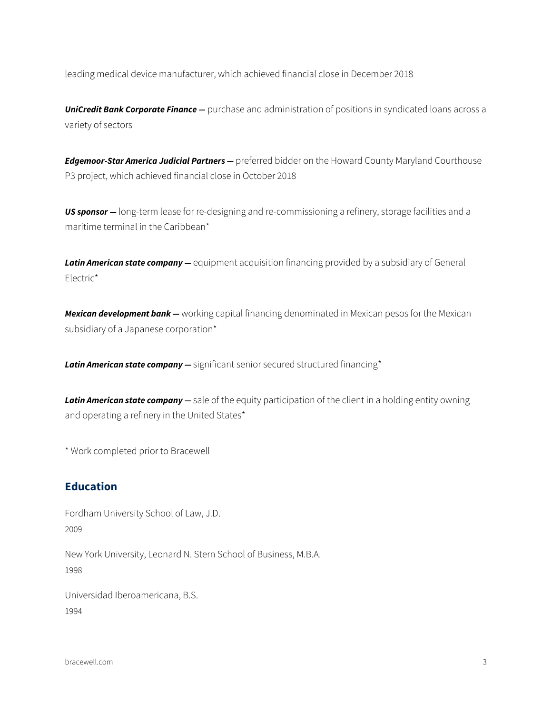leading medical device manufacturer, which achieved financial close in December 2018

**UniCredit Bank Corporate Finance** – purchase and administration of positions in syndicated loans across a variety of sectors

*Edgemoor-Star America Judicial Partners —* preferred bidder on the Howard County Maryland Courthouse P3 project, which achieved financial close in October 2018

*US sponsor —* long-term lease for re-designing and re-commissioning a refinery, storage facilities and a maritime terminal in the Caribbean\*

**Latin American state company** — equipment acquisition financing provided by a subsidiary of General Electric\*

*Mexican development bank —* working capital financing denominated in Mexican pesos for the Mexican subsidiary of a Japanese corporation\*

*Latin American state company —* significant senior secured structured financing\*

*Latin American state company —* sale of the equity participation of the client in a holding entity owning and operating a refinery in the United States\*

\* Work completed prior to Bracewell

#### **Education**

Fordham University School of Law, J.D. 2009

New York University, Leonard N. Stern School of Business, M.B.A. 1998

Universidad Iberoamericana, B.S. 1994